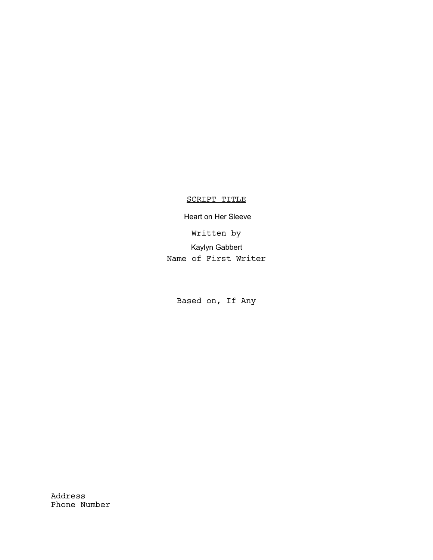# SCRIPT TITLE

Written by Name of First Writer Kaylyn Gabbert Heart on Her Sleeve

Based on, If Any

Address Phone Number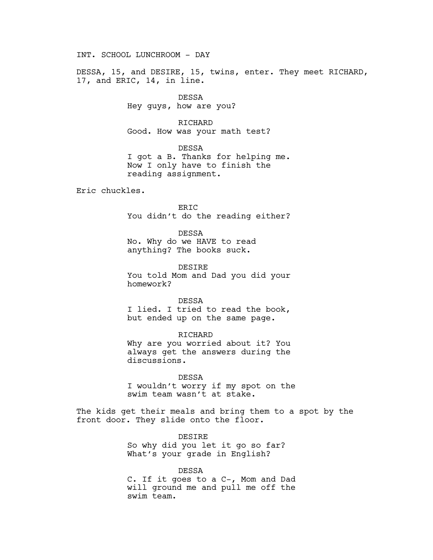INT. SCHOOL LUNCHROOM - DAY

DESSA, 15, and DESIRE, 15, twins, enter. They meet RICHARD, 17, and ERIC, 14, in line.

> DESSA Hey guys, how are you?

RICHARD Good. How was your math test?

DESSA I got a B. Thanks for helping me. Now I only have to finish the reading assignment.

Eric chuckles.

ERIC You didn't do the reading either?

DESSA

No. Why do we HAVE to read anything? The books suck.

DESIRE You told Mom and Dad you did your homework?

DESSA I lied. I tried to read the book, but ended up on the same page.

RICHARD Why are you worried about it? You always get the answers during the discussions.

DESSA I wouldn't worry if my spot on the swim team wasn't at stake.

The kids get their meals and bring them to a spot by the front door. They slide onto the floor.

> DESIRE So why did you let it go so far? What's your grade in English?

DESSA C. If it goes to a C-, Mom and Dad will ground me and pull me off the swim team.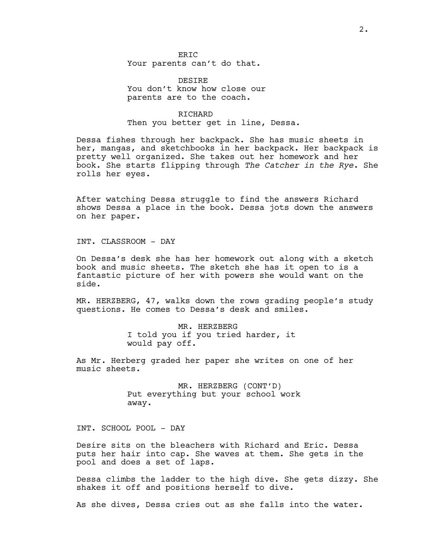ER<sub>TC</sub> Your parents can't do that.

DESIRE You don't know how close our parents are to the coach.

## RICHARD Then you better get in line, Dessa.

Dessa fishes through her backpack. She has music sheets in her, mangas, and sketchbooks in her backpack. Her backpack is pretty well organized. She takes out her homework and her book. She starts flipping through The Catcher in the Rye. She rolls her eyes.

After watching Dessa struggle to find the answers Richard shows Dessa a place in the book. Dessa jots down the answers on her paper.

INT. CLASSROOM - DAY

On Dessa's desk she has her homework out along with a sketch book and music sheets. The sketch she has it open to is a fantastic picture of her with powers she would want on the side.

MR. HERZBERG, 47, walks down the rows grading people's study questions. He comes to Dessa's desk and smiles.

> MR. HERZBERG I told you if you tried harder, it would pay off.

As Mr. Herberg graded her paper she writes on one of her music sheets.

> MR. HERZBERG (CONT'D) Put everything but your school work away.

INT. SCHOOL POOL - DAY

Desire sits on the bleachers with Richard and Eric. Dessa puts her hair into cap. She waves at them. She gets in the pool and does a set of laps.

Dessa climbs the ladder to the high dive. She gets dizzy. She shakes it off and positions herself to dive.

As she dives, Dessa cries out as she falls into the water.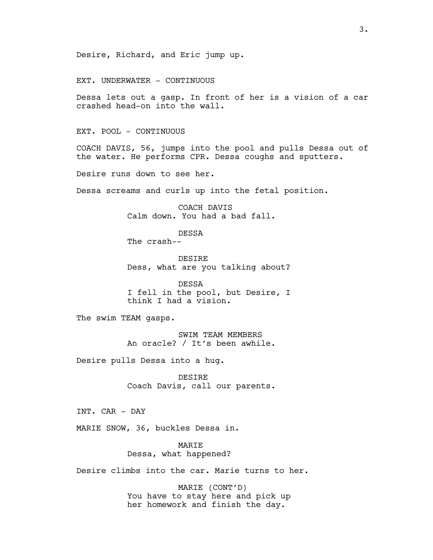Desire, Richard, and Eric jump up.

EXT. UNDERWATER - CONTINUOUS

Dessa lets out a gasp. In front of her is a vision of a car crashed head-on into the wall.

EXT. POOL - CONTINUOUS

COACH DAVIS, 56, jumps into the pool and pulls Dessa out of the water. He performs CPR. Dessa coughs and sputters.

Desire runs down to see her.

Dessa screams and curls up into the fetal position.

COACH DAVIS Calm down. You had a bad fall.

DESSA

The crash--

DESIRE Dess, what are you talking about?

DESSA I fell in the pool, but Desire, I think I had a vision.

The swim TEAM gasps.

SWIM TEAM MEMBERS An oracle? / It's been awhile.

Desire pulls Dessa into a hug.

DESIRE Coach Davis, call our parents.

INT. CAR - DAY

MARIE SNOW, 36, buckles Dessa in.

MARIE Dessa, what happened?

Desire climbs into the car. Marie turns to her.

MARIE (CONT'D) You have to stay here and pick up her homework and finish the day.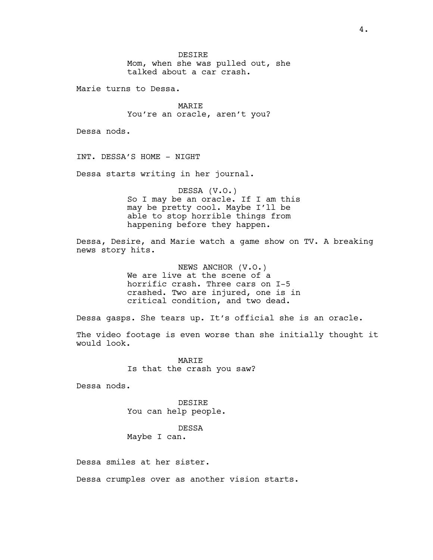DESIRE Mom, when she was pulled out, she talked about a car crash.

Marie turns to Dessa.

MARIE You're an oracle, aren't you?

Dessa nods.

INT. DESSA'S HOME - NIGHT

Dessa starts writing in her journal.

DESSA (V.O.) So I may be an oracle. If I am this may be pretty cool. Maybe I'll be able to stop horrible things from happening before they happen.

Dessa, Desire, and Marie watch a game show on TV. A breaking news story hits.

> NEWS ANCHOR (V.O.) We are live at the scene of a horrific crash. Three cars on I-5 crashed. Two are injured, one is in critical condition, and two dead.

Dessa gasps. She tears up. It's official she is an oracle.

The video footage is even worse than she initially thought it would look.

> MARIE Is that the crash you saw?

Dessa nods.

DESIRE You can help people.

DESSA Maybe I can.

Dessa smiles at her sister.

Dessa crumples over as another vision starts.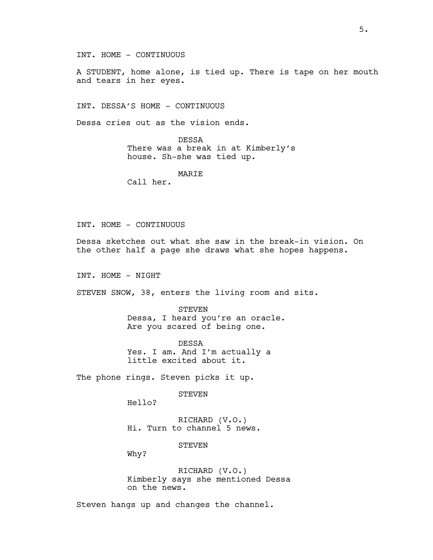INT. HOME - CONTINUOUS

A STUDENT, home alone, is tied up. There is tape on her mouth and tears in her eyes.

INT. DESSA'S HOME - CONTINUOUS

Dessa cries out as the vision ends.

DESSA There was a break in at Kimberly's house. Sh-she was tied up.

MARIE

Call her.

## INT. HOME - CONTINUOUS

Dessa sketches out what she saw in the break-in vision. On the other half a page she draws what she hopes happens.

INT. HOME - NIGHT

STEVEN SNOW, 38, enters the living room and sits.

STEVEN Dessa, I heard you're an oracle. Are you scared of being one.

DESSA Yes. I am. And I'm actually a little excited about it.

The phone rings. Steven picks it up.

STEVEN

Hello?

RICHARD (V.O.) Hi. Turn to channel 5 news.

**STEVEN** 

Why?

RICHARD (V.O.) Kimberly says she mentioned Dessa on the news.

Steven hangs up and changes the channel.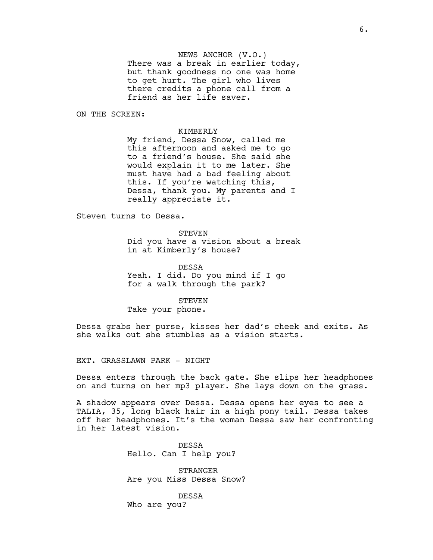NEWS ANCHOR (V.O.) There was a break in earlier today, but thank goodness no one was home to get hurt. The girl who lives there credits a phone call from a friend as her life saver.

ON THE SCREEN:

#### KIMBERLY

My friend, Dessa Snow, called me this afternoon and asked me to go to a friend's house. She said she would explain it to me later. She must have had a bad feeling about this. If you're watching this, Dessa, thank you. My parents and I really appreciate it.

Steven turns to Dessa.

STEVEN Did you have a vision about a break in at Kimberly's house?

DESSA Yeah. I did. Do you mind if I go for a walk through the park?

## STEVEN

Take your phone.

Dessa grabs her purse, kisses her dad's cheek and exits. As she walks out she stumbles as a vision starts.

EXT. GRASSLAWN PARK - NIGHT

Dessa enters through the back gate. She slips her headphones on and turns on her mp3 player. She lays down on the grass.

A shadow appears over Dessa. Dessa opens her eyes to see a TALIA, 35, long black hair in a high pony tail. Dessa takes off her headphones. It's the woman Dessa saw her confronting in her latest vision.

> DESSA Hello. Can I help you?

STRANGER Are you Miss Dessa Snow?

DESSA Who are you?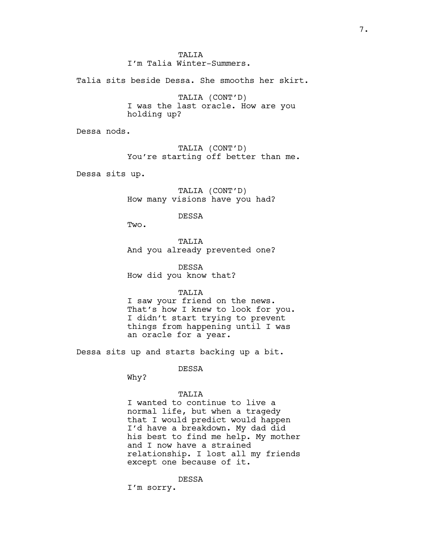TALITA

I'm Talia Winter-Summers.

Talia sits beside Dessa. She smooths her skirt.

TALIA (CONT'D) I was the last oracle. How are you holding up?

Dessa nods.

TALIA (CONT'D) You're starting off better than me.

Dessa sits up.

TALIA (CONT'D) How many visions have you had?

DESSA

Two.

TALIA And you already prevented one?

DESSA How did you know that?

TALIA

I saw your friend on the news. That's how I knew to look for you. I didn't start trying to prevent things from happening until I was an oracle for a year.

Dessa sits up and starts backing up a bit.

DESSA

Why?

### TALIA

I wanted to continue to live a normal life, but when a tragedy that I would predict would happen I'd have a breakdown. My dad did his best to find me help. My mother and I now have a strained relationship. I lost all my friends except one because of it.

DESSA

I'm sorry.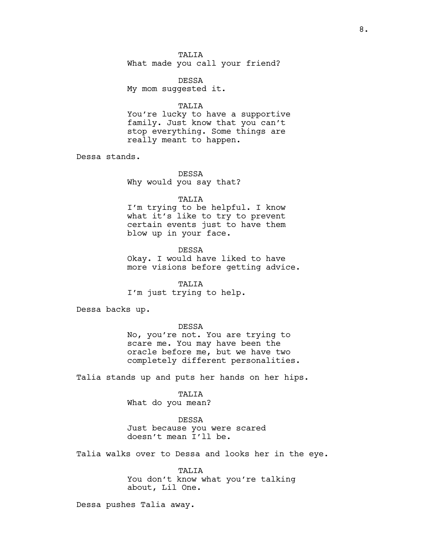## **TALIA**

What made you call your friend?

DESSA My mom suggested it.

TALIA

You're lucky to have a supportive family. Just know that you can't stop everything. Some things are really meant to happen.

Dessa stands.

DESSA Why would you say that?

TALIA

I'm trying to be helpful. I know what it's like to try to prevent certain events just to have them blow up in your face.

DESSA Okay. I would have liked to have more visions before getting advice.

TALIA I'm just trying to help.

Dessa backs up.

#### DESSA

No, you're not. You are trying to scare me. You may have been the oracle before me, but we have two completely different personalities.

Talia stands up and puts her hands on her hips.

TALIA

What do you mean?

#### DESSA

Just because you were scared doesn't mean I'll be.

Talia walks over to Dessa and looks her in the eye.

TALIA You don't know what you're talking about, Lil One.

Dessa pushes Talia away.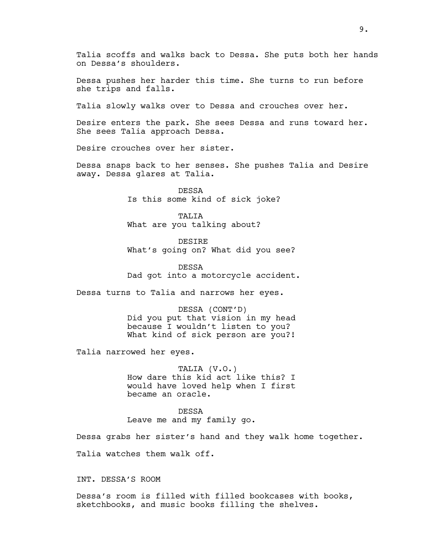Talia scoffs and walks back to Dessa. She puts both her hands on Dessa's shoulders.

Dessa pushes her harder this time. She turns to run before she trips and falls.

Talia slowly walks over to Dessa and crouches over her.

Desire enters the park. She sees Dessa and runs toward her. She sees Talia approach Dessa.

Desire crouches over her sister.

Dessa snaps back to her senses. She pushes Talia and Desire away. Dessa glares at Talia.

> DESSA Is this some kind of sick joke?

TALIA What are you talking about?

DESIRE What's going on? What did you see?

DESSA Dad got into a motorcycle accident.

Dessa turns to Talia and narrows her eyes.

DESSA (CONT'D) Did you put that vision in my head because I wouldn't listen to you? What kind of sick person are you?!

Talia narrowed her eyes.

TALIA (V.O.) How dare this kid act like this? I would have loved help when I first became an oracle.

DESSA Leave me and my family go.

Dessa grabs her sister's hand and they walk home together. Talia watches them walk off.

INT. DESSA'S ROOM

Dessa's room is filled with filled bookcases with books, sketchbooks, and music books filling the shelves.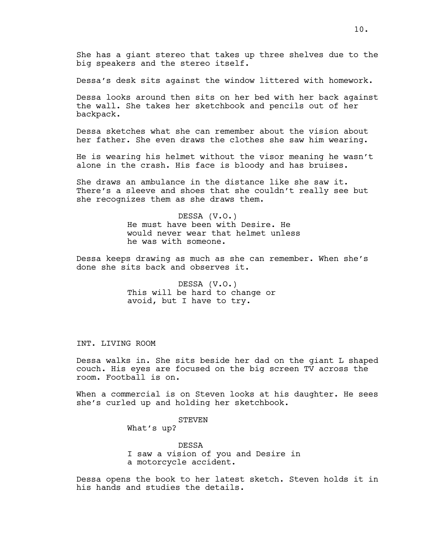She has a giant stereo that takes up three shelves due to the big speakers and the stereo itself.

Dessa's desk sits against the window littered with homework.

Dessa looks around then sits on her bed with her back against the wall. She takes her sketchbook and pencils out of her backpack.

Dessa sketches what she can remember about the vision about her father. She even draws the clothes she saw him wearing.

He is wearing his helmet without the visor meaning he wasn't alone in the crash. His face is bloody and has bruises.

She draws an ambulance in the distance like she saw it. There's a sleeve and shoes that she couldn't really see but she recognizes them as she draws them.

> DESSA (V.O.) He must have been with Desire. He would never wear that helmet unless he was with someone.

Dessa keeps drawing as much as she can remember. When she's done she sits back and observes it.

> DESSA (V.O.) This will be hard to change or avoid, but I have to try.

INT. LIVING ROOM

Dessa walks in. She sits beside her dad on the giant L shaped couch. His eyes are focused on the big screen TV across the room. Football is on.

When a commercial is on Steven looks at his daughter. He sees she's curled up and holding her sketchbook.

> STEVEN What's up?

DESSA I saw a vision of you and Desire in a motorcycle accident.

Dessa opens the book to her latest sketch. Steven holds it in his hands and studies the details.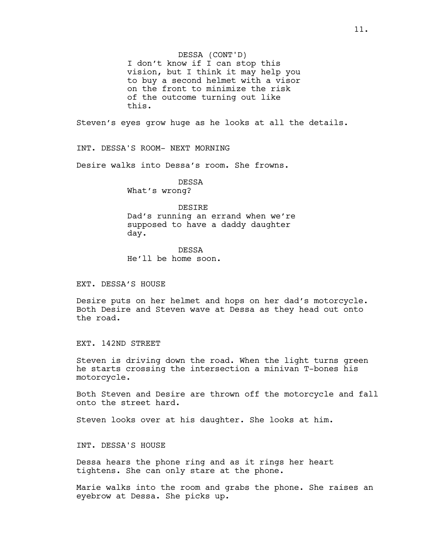DESSA (CONT'D)

I don't know if I can stop this vision, but I think it may help you to buy a second helmet with a visor on the front to minimize the risk of the outcome turning out like this.

Steven's eyes grow huge as he looks at all the details.

INT. DESSA'S ROOM- NEXT MORNING

Desire walks into Dessa's room. She frowns.

DESSA

What's wrong?

#### DESIRE

Dad's running an errand when we're supposed to have a daddy daughter day.

DESSA He'll be home soon.

EXT. DESSA'S HOUSE

Desire puts on her helmet and hops on her dad's motorcycle. Both Desire and Steven wave at Dessa as they head out onto the road.

EXT. 142ND STREET

Steven is driving down the road. When the light turns green he starts crossing the intersection a minivan T-bones his motorcycle.

Both Steven and Desire are thrown off the motorcycle and fall onto the street hard.

Steven looks over at his daughter. She looks at him.

INT. DESSA'S HOUSE

Dessa hears the phone ring and as it rings her heart tightens. She can only stare at the phone.

Marie walks into the room and grabs the phone. She raises an eyebrow at Dessa. She picks up.